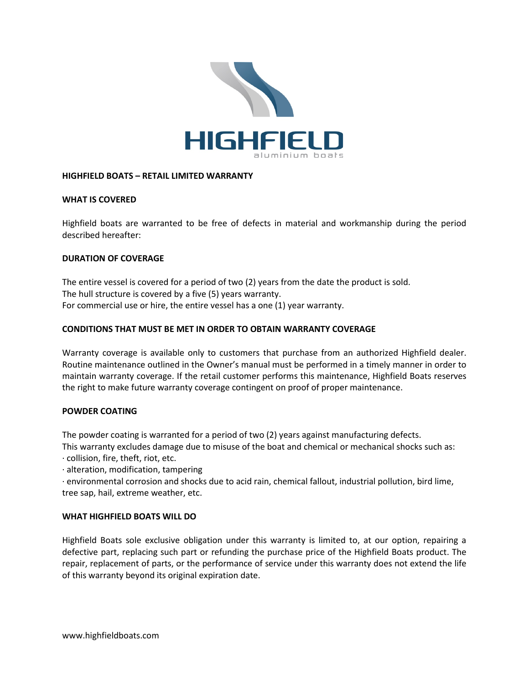

## **HIGHFIELD BOATS – RETAIL LIMITED WARRANTY**

## **WHAT IS COVERED**

Highfield boats are warranted to be free of defects in material and workmanship during the period described hereafter:

## **DURATION OF COVERAGE**

The entire vessel is covered for a period of two (2) years from the date the product is sold. The hull structure is covered by a five (5) years warranty. For commercial use or hire, the entire vessel has a one (1) year warranty.

## **CONDITIONS THAT MUST BE MET IN ORDER TO OBTAIN WARRANTY COVERAGE**

Warranty coverage is available only to customers that purchase from an authorized Highfield dealer. Routine maintenance outlined in the Owner's manual must be performed in a timely manner in order to maintain warranty coverage. If the retail customer performs this maintenance, Highfield Boats reserves the right to make future warranty coverage contingent on proof of proper maintenance.

#### **POWDER COATING**

The powder coating is warranted for a period of two (2) years against manufacturing defects.

This warranty excludes damage due to misuse of the boat and chemical or mechanical shocks such as: · collision, fire, theft, riot, etc.

· alteration, modification, tampering

· environmental corrosion and shocks due to acid rain, chemical fallout, industrial pollution, bird lime, tree sap, hail, extreme weather, etc.

#### **WHAT HIGHFIELD BOATS WILL DO**

Highfield Boats sole exclusive obligation under this warranty is limited to, at our option, repairing a defective part, replacing such part or refunding the purchase price of the Highfield Boats product. The repair, replacement of parts, or the performance of service under this warranty does not extend the life of this warranty beyond its original expiration date.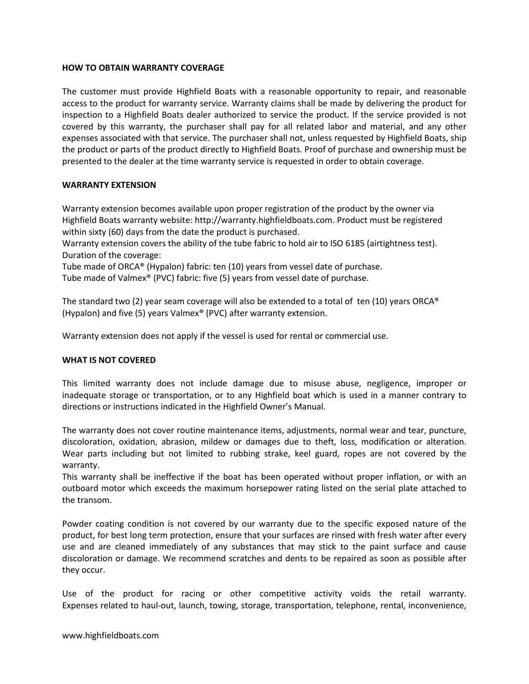## **HOW TO OBTAIN WARRANTY COVERAGE**

The customer must provide Highfield Boats with a reasonable opportunity to repair, and reasonable access to the product for warranty service. Warranty claims shall be made by delivering the product for inspection to a Highfield Boats dealer authorized to service the product. If the service provided is not covered by this warranty, the purchaser shall pay for all related labor and material, and any other expenses associated with that service. The purchaser shall not, unless requested by Highfield Boats, ship the product or parts of the product directly to Highfield Boats. Proof of purchase and ownership must be presented to the dealer at the time warranty service is requested in order to obtain coverage.

# **WARRANTY EXTENSION**

Warranty extension becomes available upon proper registration of the product by the owner via Highfield Boats warranty website: http://warranty.highfieldboats.com. Product must be registered within sixty (60) days from the date the product is purchased.

Warranty extension covers the ability of the tube fabric to hold air to ISO 6185 (airtightness test). Duration of the coverage:

Tube made of ORCA® (Hypalon) fabric: ten (10) years from vessel date of purchase.

Tube made of Valmex® (PVC) fabric: five (5) years from vessel date of purchase.

The standard two (2) year seam coverage will also be extended to a total of ten (10) years ORCA® (Hypalon) and five (5) years Valmex® (PVC) after warranty extension.

Warranty extension does not apply if the vessel is used for rental or commercial use.

#### **WHAT IS NOT COVERED**

This limited warranty does not include damage due to misuse abuse, negligence, improper or inadequate storage or transportation, or to any Highfield boat which is used in a manner contrary to directions or instructions indicated in the Highfield Owner's Manual.

The warranty does not cover routine maintenance items, adjustments, normal wear and tear, puncture, discoloration, oxidation, abrasion, mildew or damages due to theft, loss, modification or alteration. Wear parts including but not limited to rubbing strake, keel guard, ropes are not covered by the warranty.

This warranty shall be ineffective if the boat has been operated without proper inflation, or with an outboard motor which exceeds the maximum horsepower rating listed on the serial plate attached to the transom.

Powder coating condition is not covered by our warranty due to the specific exposed nature of the product, for best long term protection, ensure that your surfaces are rinsed with fresh water after every use and are cleaned immediately of any substances that may stick to the paint surface and cause discoloration or damage. We recommend scratches and dents to be repaired as soon as possible after they occur.

Use of the product for racing or other competitive activity voids the retail warranty. Expenses related to haul-out, launch, towing, storage, transportation, telephone, rental, inconvenience,